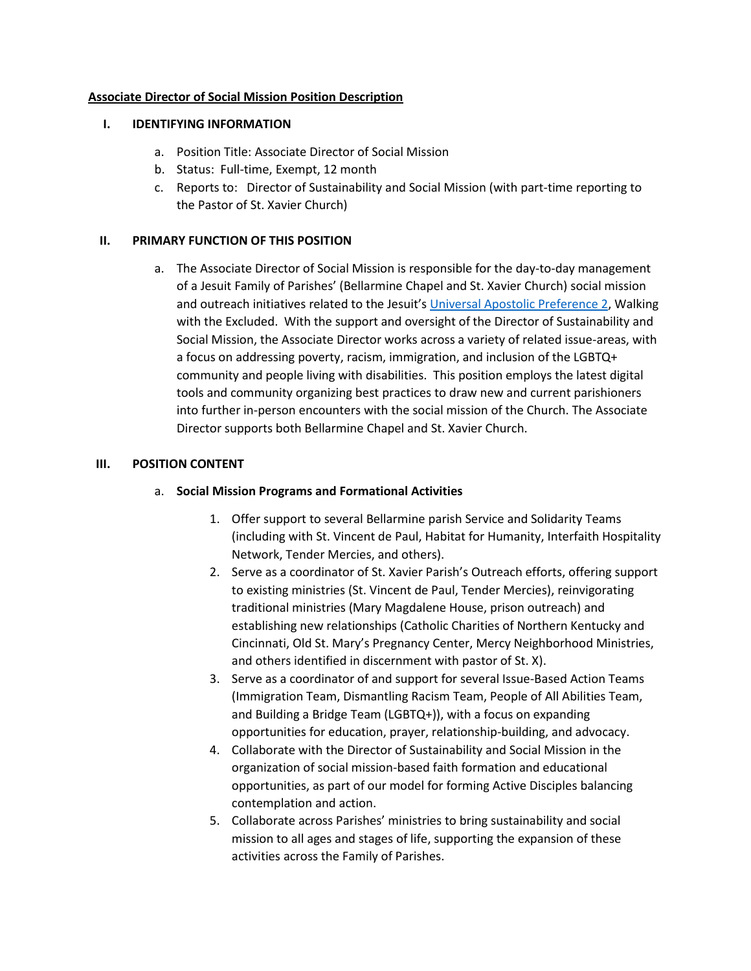### **Associate Director of Social Mission Position Description**

#### **I. IDENTIFYING INFORMATION**

- a. Position Title: Associate Director of Social Mission
- b. Status: Full-time, Exempt, 12 month
- c. Reports to: Director of Sustainability and Social Mission (with part-time reporting to the Pastor of St. Xavier Church)

### **II. PRIMARY FUNCTION OF THIS POSITION**

a. The Associate Director of Social Mission is responsible for the day-to-day management of a Jesuit Family of Parishes' (Bellarmine Chapel and St. Xavier Church) social mission and outreach initiatives related to the Jesuit's [Universal Apostolic Preference 2,](https://www.jesuits.global/uap/) Walking with the Excluded. With the support and oversight of the Director of Sustainability and Social Mission, the Associate Director works across a variety of related issue-areas, with a focus on addressing poverty, racism, immigration, and inclusion of the LGBTQ+ community and people living with disabilities. This position employs the latest digital tools and community organizing best practices to draw new and current parishioners into further in-person encounters with the social mission of the Church. The Associate Director supports both Bellarmine Chapel and St. Xavier Church.

### **III. POSITION CONTENT**

### a. **Social Mission Programs and Formational Activities**

- 1. Offer support to several Bellarmine parish Service and Solidarity Teams (including with St. Vincent de Paul, Habitat for Humanity, Interfaith Hospitality Network, Tender Mercies, and others).
- 2. Serve as a coordinator of St. Xavier Parish's Outreach efforts, offering support to existing ministries (St. Vincent de Paul, Tender Mercies), reinvigorating traditional ministries (Mary Magdalene House, prison outreach) and establishing new relationships (Catholic Charities of Northern Kentucky and Cincinnati, Old St. Mary's Pregnancy Center, Mercy Neighborhood Ministries, and others identified in discernment with pastor of St. X).
- 3. Serve as a coordinator of and support for several Issue-Based Action Teams (Immigration Team, Dismantling Racism Team, People of All Abilities Team, and Building a Bridge Team (LGBTQ+)), with a focus on expanding opportunities for education, prayer, relationship-building, and advocacy.
- 4. Collaborate with the Director of Sustainability and Social Mission in the organization of social mission-based faith formation and educational opportunities, as part of our model for forming Active Disciples balancing contemplation and action.
- 5. Collaborate across Parishes' ministries to bring sustainability and social mission to all ages and stages of life, supporting the expansion of these activities across the Family of Parishes.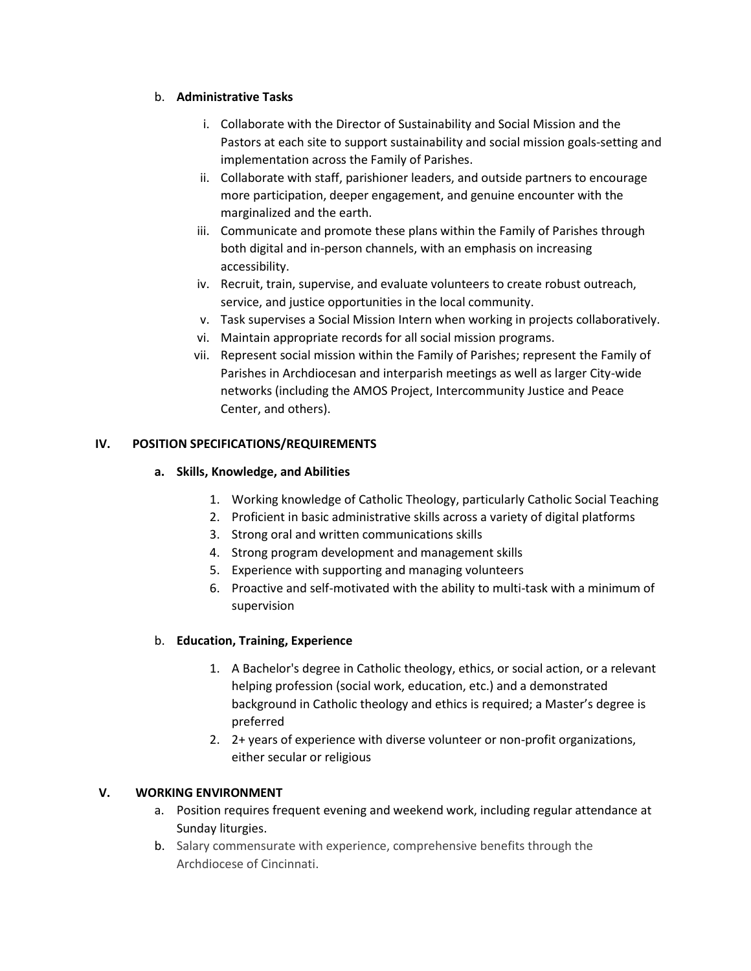## b. **Administrative Tasks**

- i. Collaborate with the Director of Sustainability and Social Mission and the Pastors at each site to support sustainability and social mission goals-setting and implementation across the Family of Parishes.
- ii. Collaborate with staff, parishioner leaders, and outside partners to encourage more participation, deeper engagement, and genuine encounter with the marginalized and the earth.
- iii. Communicate and promote these plans within the Family of Parishes through both digital and in-person channels, with an emphasis on increasing accessibility.
- iv. Recruit, train, supervise, and evaluate volunteers to create robust outreach, service, and justice opportunities in the local community.
- v. Task supervises a Social Mission Intern when working in projects collaboratively.
- vi. Maintain appropriate records for all social mission programs.
- vii. Represent social mission within the Family of Parishes; represent the Family of Parishes in Archdiocesan and interparish meetings as well as larger City-wide networks (including the AMOS Project, Intercommunity Justice and Peace Center, and others).

# **IV. POSITION SPECIFICATIONS/REQUIREMENTS**

# **a. Skills, Knowledge, and Abilities**

- 1. Working knowledge of Catholic Theology, particularly Catholic Social Teaching
- 2. Proficient in basic administrative skills across a variety of digital platforms
- 3. Strong oral and written communications skills
- 4. Strong program development and management skills
- 5. Experience with supporting and managing volunteers
- 6. Proactive and self-motivated with the ability to multi-task with a minimum of supervision

# b. **Education, Training, Experience**

- 1. A Bachelor's degree in Catholic theology, ethics, or social action, or a relevant helping profession (social work, education, etc.) and a demonstrated background in Catholic theology and ethics is required; a Master's degree is preferred
- 2. 2+ years of experience with diverse volunteer or non-profit organizations, either secular or religious

# **V. WORKING ENVIRONMENT**

- a. Position requires frequent evening and weekend work, including regular attendance at Sunday liturgies.
- b. Salary commensurate with experience, comprehensive benefits through the Archdiocese of Cincinnati.